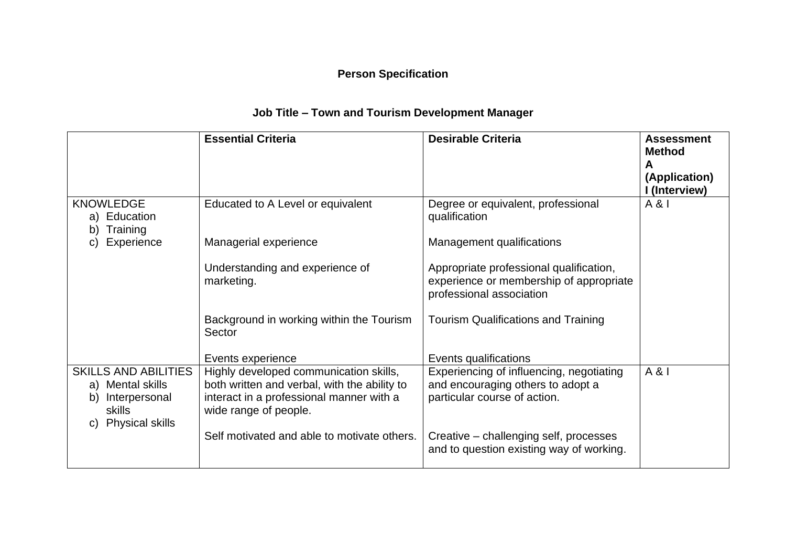## **Person Specification**

## **Job Title – Town and Tourism Development Manager**

|                                                                                                                            | <b>Essential Criteria</b>                                                                                                                                   | <b>Desirable Criteria</b>                                                                                      | <b>Assessment</b><br><b>Method</b><br>A<br>(Application)<br>(Interview) |
|----------------------------------------------------------------------------------------------------------------------------|-------------------------------------------------------------------------------------------------------------------------------------------------------------|----------------------------------------------------------------------------------------------------------------|-------------------------------------------------------------------------|
| <b>KNOWLEDGE</b><br>a) Education<br>Training<br>Experience                                                                 | Educated to A Level or equivalent                                                                                                                           | Degree or equivalent, professional<br>qualification                                                            | A &                                                                     |
|                                                                                                                            | Managerial experience                                                                                                                                       | Management qualifications                                                                                      |                                                                         |
|                                                                                                                            | Understanding and experience of<br>marketing.                                                                                                               | Appropriate professional qualification,<br>experience or membership of appropriate<br>professional association |                                                                         |
|                                                                                                                            | Background in working within the Tourism<br>Sector                                                                                                          | <b>Tourism Qualifications and Training</b>                                                                     |                                                                         |
|                                                                                                                            | Events experience                                                                                                                                           | Events qualifications                                                                                          |                                                                         |
| <b>SKILLS AND ABILITIES</b><br>a) Mental skills<br>Interpersonal<br>b)<br>skills<br><b>Physical skills</b><br>$\mathbf{C}$ | Highly developed communication skills,<br>both written and verbal, with the ability to<br>interact in a professional manner with a<br>wide range of people. | Experiencing of influencing, negotiating<br>and encouraging others to adopt a<br>particular course of action.  | A &                                                                     |
|                                                                                                                            | Self motivated and able to motivate others.                                                                                                                 | Creative – challenging self, processes<br>and to question existing way of working.                             |                                                                         |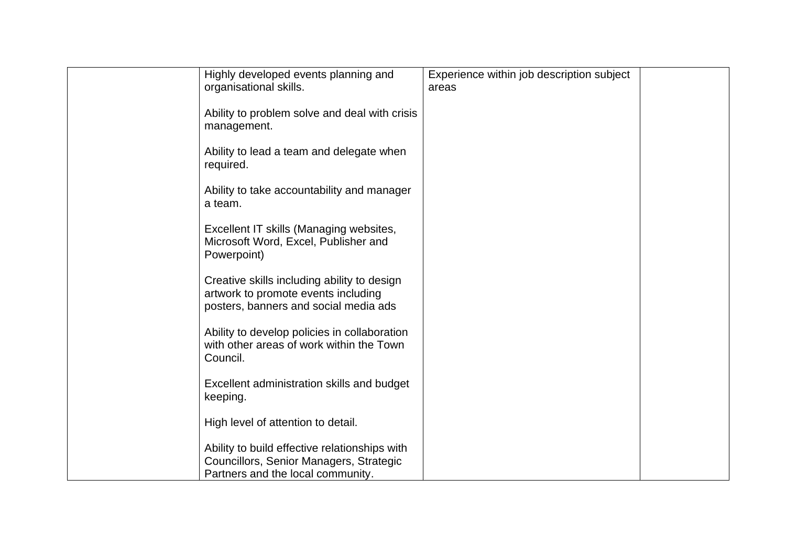| Highly developed events planning and                         | Experience within job description subject |  |
|--------------------------------------------------------------|-------------------------------------------|--|
| organisational skills.                                       | areas                                     |  |
|                                                              |                                           |  |
| Ability to problem solve and deal with crisis<br>management. |                                           |  |
|                                                              |                                           |  |
| Ability to lead a team and delegate when                     |                                           |  |
| required.                                                    |                                           |  |
|                                                              |                                           |  |
| Ability to take accountability and manager<br>a team.        |                                           |  |
|                                                              |                                           |  |
| Excellent IT skills (Managing websites,                      |                                           |  |
| Microsoft Word, Excel, Publisher and                         |                                           |  |
| Powerpoint)                                                  |                                           |  |
| Creative skills including ability to design                  |                                           |  |
| artwork to promote events including                          |                                           |  |
| posters, banners and social media ads                        |                                           |  |
|                                                              |                                           |  |
| Ability to develop policies in collaboration                 |                                           |  |
| with other areas of work within the Town<br>Council.         |                                           |  |
|                                                              |                                           |  |
| Excellent administration skills and budget                   |                                           |  |
| keeping.                                                     |                                           |  |
|                                                              |                                           |  |
| High level of attention to detail.                           |                                           |  |
| Ability to build effective relationships with                |                                           |  |
| Councillors, Senior Managers, Strategic                      |                                           |  |
| Partners and the local community.                            |                                           |  |